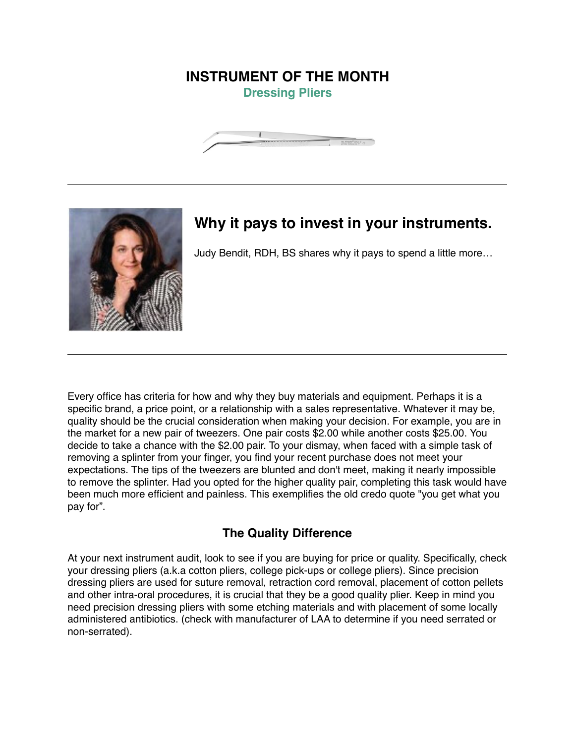## **INSTRUMENT OF THE MONTH Dressing Pliers**





## **Why it pays to invest in your instruments.**

Judy Bendit, RDH, BS shares why it pays to spend a little more…

Every office has criteria for how and why they buy materials and equipment. Perhaps it is a specific brand, a price point, or a relationship with a sales representative. Whatever it may be, quality should be the crucial consideration when making your decision. For example, you are in the market for a new pair of tweezers. One pair costs \$2.00 while another costs \$25.00. You decide to take a chance with the \$2.00 pair. To your dismay, when faced with a simple task of removing a splinter from your finger, you find your recent purchase does not meet your expectations. The tips of the tweezers are blunted and don't meet, making it nearly impossible to remove the splinter. Had you opted for the higher quality pair, completing this task would have been much more efficient and painless. This exemplifies the old credo quote "you get what you pay for".

## **The Quality Difference**

At your next instrument audit, look to see if you are buying for price or quality. Specifically, check your dressing pliers (a.k.a cotton pliers, college pick-ups or college pliers). Since precision dressing pliers are used for suture removal, retraction cord removal, placement of cotton pellets and other intra-oral procedures, it is crucial that they be a good quality plier. Keep in mind you need precision dressing pliers with some etching materials and with placement of some locally administered antibiotics. (check with manufacturer of LAA to determine if you need serrated or non-serrated).